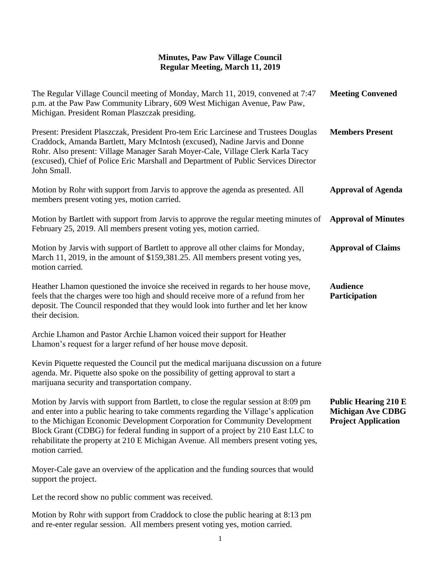| The Regular Village Council meeting of Monday, March 11, 2019, convened at 7:47<br>p.m. at the Paw Paw Community Library, 609 West Michigan Avenue, Paw Paw,<br>Michigan. President Roman Plaszczak presiding.                                                                                                                                                                                                                                            | <b>Meeting Convened</b>                                                               |
|-----------------------------------------------------------------------------------------------------------------------------------------------------------------------------------------------------------------------------------------------------------------------------------------------------------------------------------------------------------------------------------------------------------------------------------------------------------|---------------------------------------------------------------------------------------|
| Present: President Plaszczak, President Pro-tem Eric Larcinese and Trustees Douglas<br>Craddock, Amanda Bartlett, Mary McIntosh (excused), Nadine Jarvis and Donne<br>Rohr. Also present: Village Manager Sarah Moyer-Cale, Village Clerk Karla Tacy<br>(excused), Chief of Police Eric Marshall and Department of Public Services Director<br>John Small.                                                                                                | <b>Members Present</b>                                                                |
| Motion by Rohr with support from Jarvis to approve the agenda as presented. All<br>members present voting yes, motion carried.                                                                                                                                                                                                                                                                                                                            | <b>Approval of Agenda</b>                                                             |
| Motion by Bartlett with support from Jarvis to approve the regular meeting minutes of<br>February 25, 2019. All members present voting yes, motion carried.                                                                                                                                                                                                                                                                                               | <b>Approval of Minutes</b>                                                            |
| Motion by Jarvis with support of Bartlett to approve all other claims for Monday,<br>March 11, 2019, in the amount of \$159,381.25. All members present voting yes,<br>motion carried.                                                                                                                                                                                                                                                                    | <b>Approval of Claims</b>                                                             |
| Heather Lhamon questioned the invoice she received in regards to her house move,<br>feels that the charges were too high and should receive more of a refund from her<br>deposit. The Council responded that they would look into further and let her know<br>their decision.                                                                                                                                                                             | <b>Audience</b><br>Participation                                                      |
| Archie Lhamon and Pastor Archie Lhamon voiced their support for Heather<br>Lhamon's request for a larger refund of her house move deposit.                                                                                                                                                                                                                                                                                                                |                                                                                       |
| Kevin Piquette requested the Council put the medical marijuana discussion on a future<br>agenda. Mr. Piquette also spoke on the possibility of getting approval to start a<br>marijuana security and transportation company.                                                                                                                                                                                                                              |                                                                                       |
| Motion by Jarvis with support from Bartlett, to close the regular session at 8:09 pm<br>and enter into a public hearing to take comments regarding the Village's application<br>to the Michigan Economic Development Corporation for Community Development<br>Block Grant (CDBG) for federal funding in support of a project by 210 East LLC to<br>rehabilitate the property at 210 E Michigan Avenue. All members present voting yes,<br>motion carried. | <b>Public Hearing 210 E</b><br><b>Michigan Ave CDBG</b><br><b>Project Application</b> |
| Moyer-Cale gave an overview of the application and the funding sources that would<br>support the project.                                                                                                                                                                                                                                                                                                                                                 |                                                                                       |
| Let the record show no public comment was received.                                                                                                                                                                                                                                                                                                                                                                                                       |                                                                                       |
| Motion by Rohr with support from Craddock to close the public hearing at 8:13 pm<br>and re-enter regular session. All members present voting yes, motion carried.                                                                                                                                                                                                                                                                                         |                                                                                       |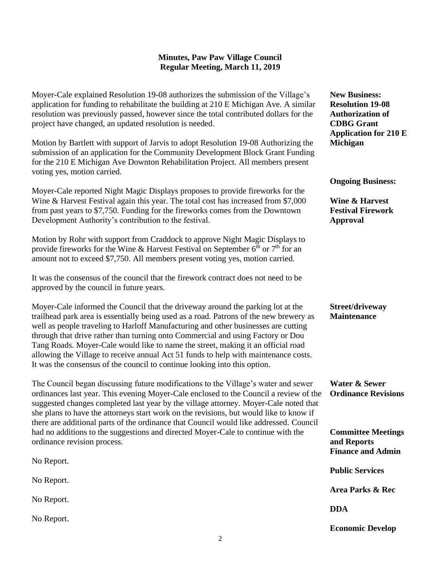Moyer-Cale explained Resolution 19-08 authorizes the submission of the Village's application for funding to rehabilitate the building at 210 E Michigan Ave. A similar resolution was previously passed, however since the total contributed dollars for the project have changed, an updated resolution is needed.

Motion by Bartlett with support of Jarvis to adopt Resolution 19-08 Authorizing the submission of an application for the Community Development Block Grant Funding for the 210 E Michigan Ave Downton Rehabilitation Project. All members present voting yes, motion carried.

Moyer-Cale reported Night Magic Displays proposes to provide fireworks for the Wine & Harvest Festival again this year. The total cost has increased from \$7,000 from past years to \$7,750. Funding for the fireworks comes from the Downtown Development Authority's contribution to the festival.

Motion by Rohr with support from Craddock to approve Night Magic Displays to provide fireworks for the Wine & Harvest Festival on September  $6<sup>th</sup>$  or  $7<sup>th</sup>$  for an amount not to exceed \$7,750. All members present voting yes, motion carried.

It was the consensus of the council that the firework contract does not need to be approved by the council in future years.

Moyer-Cale informed the Council that the driveway around the parking lot at the trailhead park area is essentially being used as a road. Patrons of the new brewery as well as people traveling to Harloff Manufacturing and other businesses are cutting through that drive rather than turning onto Commercial and using Factory or Dou Tang Roads. Moyer-Cale would like to name the street, making it an official road allowing the Village to receive annual Act 51 funds to help with maintenance costs. It was the consensus of the council to continue looking into this option.

The Council began discussing future modifications to the Village's water and sewer ordinances last year. This evening Moyer-Cale enclosed to the Council a review of the suggested changes completed last year by the village attorney. Moyer-Cale noted that she plans to have the attorneys start work on the revisions, but would like to know if there are additional parts of the ordinance that Council would like addressed. Council had no additions to the suggestions and directed Moyer-Cale to continue with the ordinance revision process. **Committee Meetings and Reports**

|            | <b>Finance and Admin</b> |
|------------|--------------------------|
| No Report. | <b>Public Services</b>   |
| No Report. | Area Parks & Rec         |
| No Report. | <b>DDA</b>               |
| No Report. |                          |

**New Business: Resolution 19-08 Authorization of CDBG Grant Application for 210 E Michigan**

**Ongoing Business:**

**Wine & Harvest Festival Firework Approval**

**Street/driveway Maintenance**

**Water & Sewer Ordinance Revisions**

**Economic Develop**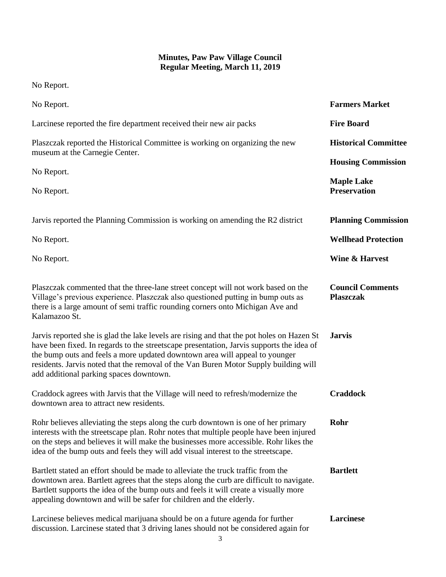No Report.

| No Report.                                                                                                                                                                                                                                                                                                                                                                                              | <b>Farmers Market</b>                       |
|---------------------------------------------------------------------------------------------------------------------------------------------------------------------------------------------------------------------------------------------------------------------------------------------------------------------------------------------------------------------------------------------------------|---------------------------------------------|
| Larcinese reported the fire department received their new air packs                                                                                                                                                                                                                                                                                                                                     | <b>Fire Board</b>                           |
| Plaszczak reported the Historical Committee is working on organizing the new<br>museum at the Carnegie Center.                                                                                                                                                                                                                                                                                          | <b>Historical Committee</b>                 |
| No Report.                                                                                                                                                                                                                                                                                                                                                                                              | <b>Housing Commission</b>                   |
| No Report.                                                                                                                                                                                                                                                                                                                                                                                              | <b>Maple Lake</b><br><b>Preservation</b>    |
| Jarvis reported the Planning Commission is working on amending the R2 district                                                                                                                                                                                                                                                                                                                          | <b>Planning Commission</b>                  |
| No Report.                                                                                                                                                                                                                                                                                                                                                                                              | <b>Wellhead Protection</b>                  |
| No Report.                                                                                                                                                                                                                                                                                                                                                                                              | <b>Wine &amp; Harvest</b>                   |
| Plaszczak commented that the three-lane street concept will not work based on the<br>Village's previous experience. Plaszczak also questioned putting in bump outs as<br>there is a large amount of semi traffic rounding corners onto Michigan Ave and<br>Kalamazoo St.                                                                                                                                | <b>Council Comments</b><br><b>Plaszczak</b> |
| Jarvis reported she is glad the lake levels are rising and that the pot holes on Hazen St<br>have been fixed. In regards to the streetscape presentation, Jarvis supports the idea of<br>the bump outs and feels a more updated downtown area will appeal to younger<br>residents. Jarvis noted that the removal of the Van Buren Motor Supply building will<br>add additional parking spaces downtown. | <b>Jarvis</b>                               |
| Craddock agrees with Jarvis that the Village will need to refresh/modernize the<br>downtown area to attract new residents.                                                                                                                                                                                                                                                                              | <b>Craddock</b>                             |
| Rohr believes alleviating the steps along the curb downtown is one of her primary<br>interests with the streetscape plan. Rohr notes that multiple people have been injured<br>on the steps and believes it will make the businesses more accessible. Rohr likes the<br>idea of the bump outs and feels they will add visual interest to the streetscape.                                               | Rohr                                        |
| Bartlett stated an effort should be made to alleviate the truck traffic from the<br>downtown area. Bartlett agrees that the steps along the curb are difficult to navigate.<br>Bartlett supports the idea of the bump outs and feels it will create a visually more<br>appealing downtown and will be safer for children and the elderly.                                                               | <b>Bartlett</b>                             |
| Larcinese believes medical marijuana should be on a future agenda for further<br>discussion. Larcinese stated that 3 driving lanes should not be considered again for                                                                                                                                                                                                                                   | Larcinese                                   |